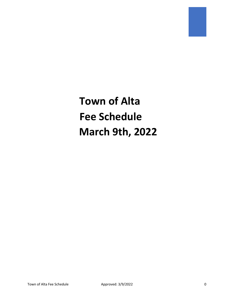**Town of Alta Fee Schedule March 9th, 2022**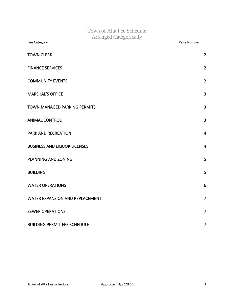| Town of Alta Fee Schedule<br><b>Arranged Categorically</b> |                |
|------------------------------------------------------------|----------------|
| <b>Fee Category</b>                                        | Page Number    |
| <b>TOWN CLERK</b>                                          | $\overline{2}$ |
| <b>FINANCE SERVICES</b>                                    | $\overline{2}$ |
| <b>COMMUNITY EVENTS</b>                                    | $\overline{2}$ |
| <b>MARSHAL'S OFFICE</b>                                    | 3              |
| <b>TOWN MANAGED PARKING PERMITS</b>                        | 3              |
| <b>ANIMAL CONTROL</b>                                      | 3              |
| <b>PARK AND RECREATION</b>                                 | $\overline{4}$ |
| <b>BUSINESS AND LIQUOR LICENSES</b>                        | $\overline{4}$ |
| PLANNING AND ZONING                                        | 5              |
| <b>BUILDING</b>                                            | 5              |
| <b>WATER OPERATIONS</b>                                    | 6              |
| WATER EXPANSION AND REPLACEMENT                            | $\overline{7}$ |
| <b>SEWER OPERATIONS</b>                                    | 7              |
| <b>BUILDING PERMIT FEE SCHEDULE</b>                        | 7              |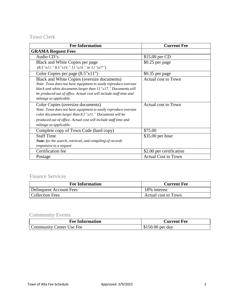## <span id="page-2-0"></span>Town Clerk

| <b>Fee Information</b>                                             | <b>Current Fee</b>         |
|--------------------------------------------------------------------|----------------------------|
| <b>GRAMA Request Fees</b>                                          |                            |
| Audio CD's                                                         | \$15.00 per CD             |
| Black and White Copies per page                                    | \$0.25 per page            |
| $(8.5"x11," 8.5"x14," 11"x14," or 11"x17")$                        |                            |
| Color Copies per page $(8.5"x11")$                                 | \$0.35 per page            |
| Black and White Copies (oversize documents)                        | Actual cost to Town        |
| Note: Town does not have equipment to easily reproduce oversize    |                            |
| black and white documents larger than 11"x17." Documents will      |                            |
| be produced out of office. Actual cost will include staff time and |                            |
| mileage as applicable.                                             |                            |
| Color Copies (oversize documents)                                  | Actual cost to Town        |
| Note: Town does not have equipment to easily reproduce oversize    |                            |
| color documents larger than 8.5"x11." Documents will be            |                            |
| produced out of office. Actual cost will include staff time and    |                            |
| mileage as applicable.                                             |                            |
| Complete copy of Town Code (hard copy)                             | \$75.00                    |
| <b>Staff Time</b>                                                  | $$35.00$ per hour          |
| <b>Note:</b> for the search, retrieval, and compiling of records   |                            |
| responsive to a request                                            |                            |
| Certification fee                                                  | \$2.00 per certification   |
| Postage                                                            | <b>Actual Cost to Town</b> |

## <span id="page-2-1"></span>Finance Services

| <b>Fee Information</b>  | <b>Current Fee</b>  |
|-------------------------|---------------------|
| Delinquent Account Fees | 18% interest        |
| Collection Fees         | Actual cost to Town |

# <span id="page-2-2"></span>Community Events

| <b>Fee Information</b>   | <b>Current Fee</b> |
|--------------------------|--------------------|
| Community Center Use Fee | $$150.00$ per day  |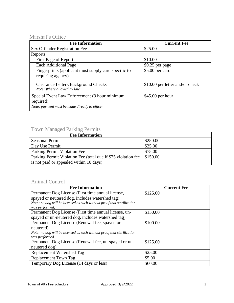## <span id="page-3-0"></span>Marshal's Office

| <b>Fee Information</b>                                                                                       | <b>Current Fee</b>              |
|--------------------------------------------------------------------------------------------------------------|---------------------------------|
| Sex Offender Registration Fee                                                                                | \$25.00                         |
| Reports                                                                                                      |                                 |
| First Page of Report                                                                                         | \$10.00                         |
| <b>Each Additional Page</b>                                                                                  | \$0.25 per page                 |
| Fingerprints (applicant must supply card specific to<br>requiring agency)                                    | $$5.00$ per card                |
| <b>Clearance Letters/Background Checks</b><br>Note: Where allowed by law                                     | \$10.00 per letter and/or check |
| Special Event Law Enforcement (3 hour minimum<br>required)<br>Note: payment must be made directly to officer | $$45.00$ per hour               |

#### <span id="page-3-1"></span>Town Managed Parking Permits

| <b>Fee Information</b>                                        |          |
|---------------------------------------------------------------|----------|
| <b>Seasonal Permit</b>                                        | \$250.00 |
| Day Use Permit                                                | \$25.00  |
| Parking Permit Violation Fee                                  | \$75.00  |
| Parking Permit Violation Fee (total due if \$75 violation fee | \$150.00 |
| is not paid or appealed within 10 days)                       |          |

### <span id="page-3-2"></span>Animal Control

| <b>Fee Information</b>                                                 | <b>Current Fee</b> |
|------------------------------------------------------------------------|--------------------|
| Permanent Dog License (First time annual license,                      | \$125.00           |
| spayed or neutered dog, includes watershed tag)                        |                    |
| Note: no dog will be licensed as such without proof that sterilization |                    |
| was performed)                                                         |                    |
| Permanent Dog License (First time annual license, un-                  | \$150.00           |
| spayed or un-neutered dog, includes watershed tag)                     |                    |
| Permanent Dog License (Renewal fee, spayed or                          | \$100.00           |
| neutered)                                                              |                    |
| Note: no dog will be licensed as such without proof that sterilization |                    |
| was performed                                                          |                    |
| Permanent Dog License (Renewal fee, un-spayed or un-                   | \$125.00           |
| neutered dog)                                                          |                    |
| Replacement Watershed Tag                                              | \$25.00            |
| <b>Replacement Town Tag</b>                                            | \$5.00             |
| Temporary Dog License (14 days or less)                                | \$60.00            |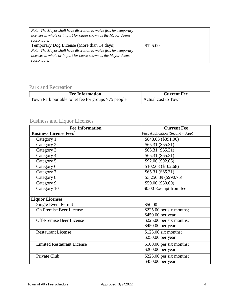| Note: The Mayor shall have discretion to waive fees for temporary |          |
|-------------------------------------------------------------------|----------|
| licenses in whole or in part for cause shown as the Mayor deems   |          |
| reasonable.                                                       |          |
| Temporary Dog License (More than 14 days)                         | \$125.00 |
| Note: The Mayor shall have discretion to waive fees for temporary |          |
| licenses in whole or in part for cause shown as the Mayor deems   |          |
| reasonable.                                                       |          |

### <span id="page-4-0"></span>Park and Recreation

| <b>Fee Information</b>                              | <b>Current Fee</b>         |
|-----------------------------------------------------|----------------------------|
| Town Park portable toilet fee for groups >75 people | <b>Actual cost to Town</b> |

# <span id="page-4-1"></span>Business and Liquor Licenses

| <b>Current Fee</b>                   |
|--------------------------------------|
| First Application (Second + App)     |
| \$843.03 (\$391.00)                  |
| \$65.31 (\$65.31)                    |
| \$65.31 (\$65.31)                    |
| \$65.31 (\$65.31)                    |
| \$92.06 (\$92.06)                    |
| \$102.68 (\$102.68)                  |
| \$65.31 (\$65.31)                    |
| \$3,250.89 (\$990.75)                |
| \$50.00 (\$50.00)                    |
| \$0.00 Exempt from fee               |
|                                      |
|                                      |
| \$50.00                              |
| $$225.00$ per six months;            |
| \$450.00 per year                    |
| $$225.00$ per six months;            |
| \$450.00 per year                    |
| $$125.00$ six months;                |
| \$250.00 per year                    |
| $\overline{$100.00}$ per six months; |
| \$200.00 per year                    |
| $$225.00$ per six months;            |
| \$450.00 per year                    |
|                                      |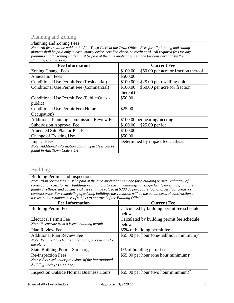### <span id="page-5-0"></span>Planning and Zoning

#### Planning and Zoning Fees

*Note: All fees shall be paid to the Alta Town Clerk at the Town Office. Fees for all planning and zoning*  matters shall be paid only in cash, money order, certified check, or credit card. All required fees for any *planning and/or zoning matter must be paid at the time application is made for consideration by the Planning Commission.*

| <b>Fee Information</b>                                | <b>Current Fee</b>                              |
|-------------------------------------------------------|-------------------------------------------------|
| <b>Zoning Change Fees</b>                             | $$100.00 + $50.00$ per acre or fraction thereof |
| <b>Annexation Fees</b>                                | \$500.00                                        |
| Conditional Use Permit Fee (Residential)              | $$100.00 + $25.00$ per dwelling unit            |
| Conditional Use Permit Fee (Commercial)               | $$100.00 + $50.00$ per acre (or fraction        |
|                                                       | thereof)                                        |
| Conditional Use Permit Fee (Public/Quasi-             | \$50.00                                         |
| public)                                               |                                                 |
| Conditional Use Permit Fee (Home)                     | \$25.00                                         |
| Occupation)                                           |                                                 |
| <b>Additional Planning Commission Review Fee</b>      | \$100.00 per hearing/meeting                    |
| Subdivision Approval Fee                              | $$100.00 + $25.00$ per lot                      |
| Amended Site Plan or Plat Fee                         | \$100.00                                        |
| Change of Existing Use                                | \$50.00                                         |
| <b>Impact Fees:</b>                                   | Determined by impact fee analysis               |
| Note: Additional information about impact fees can be |                                                 |
| found in Alta Town Code 9-1A                          |                                                 |

#### <span id="page-5-1"></span>Building

#### Building Permits and Inspections

*Note: Plan review fees must be paid at the time application is made for a building permit. Valuation of construction costs for new buildings or additions to existing buildings for single family dwellings, multiple* family dwellings, and commercial uses shall be valued at \$200.00 per square foot of gross floor areas, or contract price. For remodeling of existing buildings the valuation will be the actual costs of construction or *a reasonable estimate thereof subject to approval of the Building Official*

<span id="page-5-2"></span>

| <b>Fee Information</b>                                | <b>Current Fee</b>                                    |
|-------------------------------------------------------|-------------------------------------------------------|
| <b>Building Permit Fee</b>                            | Calculated by building permit fee schedule            |
|                                                       | below                                                 |
| <b>Electrical Permit Fee</b>                          | Calculated by building permit fee schedule            |
| Note: if separate from a issued building permit       | below                                                 |
| <b>Plan Review Fee</b>                                | 65% of building permit fee                            |
| <b>Additional Plan Review Fee</b>                     | \$55.00 per hour (one-half hour minimum) <sup>2</sup> |
| Note: Required by changes, additions, or revisions to |                                                       |
| the plans                                             |                                                       |
| <b>State Building Permit Surcharge</b>                | 1% of building permit cost                            |
| <b>Re-Inspection Fees</b>                             | \$55.00 per hour (one hour minimum) <sup>2</sup>      |
| Notes: Assessed under provisions of the International |                                                       |
| Building Code (as modified)                           |                                                       |
| <b>Inspection Outside Normal Business Hours</b>       | \$55.00 per hour (two hour minimum) <sup>2</sup>      |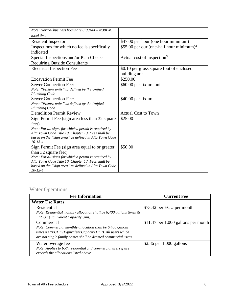| Note: Normal business hours are 8:00AM - 4:30PM,      |                                                      |
|-------------------------------------------------------|------------------------------------------------------|
| local time                                            |                                                      |
| <b>Resident Inspector</b>                             | \$47.00 per hour (one hour minimum)                  |
| Inspections for which no fee is specifically          | \$55.00 per our (one-half hour minimum) <sup>2</sup> |
| indicated                                             |                                                      |
| Special Inspections and/or Plan Checks                | Actual cost of inspection <sup>3</sup>               |
| <b>Requiring Outside Consultants</b>                  |                                                      |
| <b>Electrical Inspection Fee</b>                      | \$0.10 per gross square foot of enclosed             |
|                                                       | building area                                        |
| <b>Excavation Permit Fee</b>                          | \$250.00                                             |
| <b>Sewer Connection Fee:</b>                          | \$60.00 per fixture unit                             |
| Note: "Fixture units" as defined by the Unified       |                                                      |
| <b>Plumbing Code</b>                                  |                                                      |
| <b>Sewer Connection Fee:</b>                          | \$40.00 per fixture                                  |
| Note: "Fixture units" as defined by the Unified       |                                                      |
| <b>Plumbing Code</b>                                  |                                                      |
| <b>Demolition Permit Review</b>                       | <b>Actual Cost to Town</b>                           |
| Sign Permit Fee (sign area less than 32 square        | \$25.00                                              |
| feet)                                                 |                                                      |
| Note: For all signs for which a permit is required by |                                                      |
| Alta Town Code Title 10, Chapter 13. Fees shall be    |                                                      |
| based on the "sign area" as defined in Alta Town Code |                                                      |
| $10 - 13 - 4$                                         |                                                      |
| Sign Permit Fee (sign area equal to or greater        | \$50.00                                              |
| than 32 square feet)                                  |                                                      |
| Note: For all signs for which a permit is required by |                                                      |
| Alta Town Code Title 10, Chapter 13. Fees shall be    |                                                      |
| based on the "sign area" as defined in Alta Town Code |                                                      |
| $10 - 13 - 4$                                         |                                                      |

# <span id="page-6-0"></span>Water Operations

| <b>Fee Information</b>                                                | <b>Current Fee</b>                   |
|-----------------------------------------------------------------------|--------------------------------------|
| <b>Water Use Rates</b>                                                |                                      |
| Residential                                                           | \$73.42 per ECU per month            |
| Note: Residential monthly allocation shall be 6,400 gallons times its |                                      |
| "ECU" (Equivalent Capacity Unit).                                     |                                      |
| Commercial                                                            | $$11.47$ per 1,000 gallons per month |
| Note: Commercial monthly allocation shall be 6,400 gallons            |                                      |
| times its "ECU" (Equivalent Capacity Unit). All users which           |                                      |
| are not single family homes shall be deemed commercial users.         |                                      |
| Water overage fee                                                     | \$2.86 per $1,000$ gallons           |
| Note: Applies to both residential and commercial users if use         |                                      |
| exceeds the allocations listed above.                                 |                                      |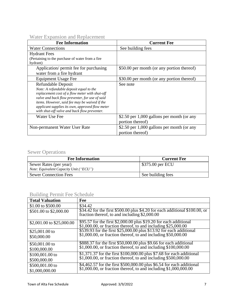<span id="page-7-0"></span>Water Expansion and Replacement

| <b>Fee Information</b>                                                                                                                                                                                                                                                                                                | <b>Current Fee</b>                                               |
|-----------------------------------------------------------------------------------------------------------------------------------------------------------------------------------------------------------------------------------------------------------------------------------------------------------------------|------------------------------------------------------------------|
| <b>Water Connections</b>                                                                                                                                                                                                                                                                                              | See building fees                                                |
| <b>Hydrant Fees</b><br>(Pertaining to the purchase of water from a fire<br>hydrant)                                                                                                                                                                                                                                   |                                                                  |
| Application/ permit fee for purchasing<br>water from a fire hydrant                                                                                                                                                                                                                                                   | \$50.00 per month (or any portion thereof)                       |
| Equipment Usage Fee                                                                                                                                                                                                                                                                                                   | \$30.00 per month (or any portion thereof)                       |
| Refundable Deposit<br>Note: A refundable deposit equal to the<br>replacement cost of a flow meter with shut-off<br>valve and back flow preventer, for use of said<br>items. However, said fee may be waived if the<br>applicant supplies its own, approved flow meter<br>with shut-off valve and back flow preventer. | See note                                                         |
| Water Use Fee                                                                                                                                                                                                                                                                                                         | \$2.50 per $1,000$ gallons per month (or any<br>portion thereof) |
| Non-permanent Water User Rate                                                                                                                                                                                                                                                                                         | \$2.50 per $1,000$ gallons per month (or any<br>portion thereof) |

# <span id="page-7-1"></span>Sewer Operations

| <b>Fee Information</b>                                           | <b>Current Fee</b> |
|------------------------------------------------------------------|--------------------|
| Sewer Rates (per year)<br>Note: Equivalent Capacity Unit ("ECU") | \$375.00 per ECU   |
| <b>Sewer Connection Fees</b>                                     | See building fees  |

### <span id="page-7-2"></span>Building Permit Fee Schedule

| <b>Total Valuation</b>    | Fee                                                                                                                                    |
|---------------------------|----------------------------------------------------------------------------------------------------------------------------------------|
| \$1.00 to \$500.00        | \$34.42                                                                                                                                |
| \$501.00 to \$2,000.00    | $$34.42$ for the first \$500.00 plus \$4.20 for each additional \$100.00, or fraction thereof, to and including \$2,000.00             |
| \$2,001.00 to \$25,000.00 | \$95.57 for the first \$2,000.00 plus \$19.20 for each additional \$1,000.00, or fraction thereof, to and including \$25,000.00        |
| $$25,001.00$ to           | \$539.93 for the first \$25,000.00 plus \$13.92 for each additional                                                                    |
| \$50,000.00               | $$1,000.00$ , or fraction thereof, to and including $$50,000.00$                                                                       |
| $$50,001.00$ to           | \$888.37 for the first \$50,000.00 plus \$9.66 for each additional \$1,000.00, or fraction thereof, to and including \$100,000.00      |
| \$100,000.00              |                                                                                                                                        |
| \$100,001.00 to           | \$1,371.37 for the first \$100,000.00 plus \$7.68 for each additional \$1,000.00, or fraction thereof, to and including \$500,000.00   |
| \$500,000.00              |                                                                                                                                        |
| \$500,001.00 to           | \$4,462.57 for the first \$500,000.00 plus \$6.54 for each additional \$1,000.00, or fraction thereof, to and including \$1,000,000.00 |
| \$1,000,000.00            |                                                                                                                                        |